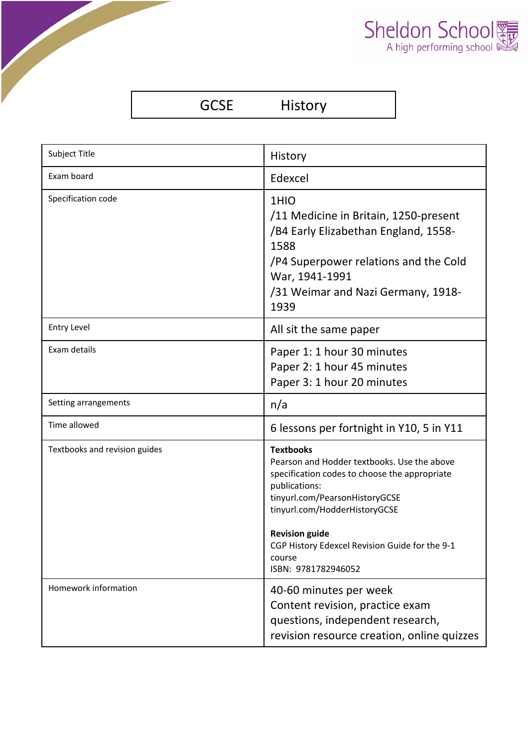| Sheldon School |  |
|----------------|--|
|                |  |

| <b>GCSE</b> | <b>History</b> |
|-------------|----------------|
|-------------|----------------|

| <b>Subject Title</b>          | History                                                                                                                                                                                                                                                                                                          |
|-------------------------------|------------------------------------------------------------------------------------------------------------------------------------------------------------------------------------------------------------------------------------------------------------------------------------------------------------------|
| Exam board                    | Edexcel                                                                                                                                                                                                                                                                                                          |
| Specification code            | 1HIO<br>/11 Medicine in Britain, 1250-present<br>/B4 Early Elizabethan England, 1558-<br>1588<br>/P4 Superpower relations and the Cold<br>War, 1941-1991<br>/31 Weimar and Nazi Germany, 1918-<br>1939                                                                                                           |
| <b>Entry Level</b>            | All sit the same paper                                                                                                                                                                                                                                                                                           |
| Exam details                  | Paper 1: 1 hour 30 minutes<br>Paper 2: 1 hour 45 minutes<br>Paper 3: 1 hour 20 minutes                                                                                                                                                                                                                           |
| Setting arrangements          | n/a                                                                                                                                                                                                                                                                                                              |
| Time allowed                  | 6 lessons per fortnight in Y10, 5 in Y11                                                                                                                                                                                                                                                                         |
| Textbooks and revision guides | <b>Textbooks</b><br>Pearson and Hodder textbooks. Use the above<br>specification codes to choose the appropriate<br>publications:<br>tinyurl.com/PearsonHistoryGCSE<br>tinyurl.com/HodderHistoryGCSE<br><b>Revision guide</b><br>CGP History Edexcel Revision Guide for the 9-1<br>course<br>ISBN: 9781782946052 |
| Homework information          | 40-60 minutes per week<br>Content revision, practice exam<br>questions, independent research,<br>revision resource creation, online quizzes                                                                                                                                                                      |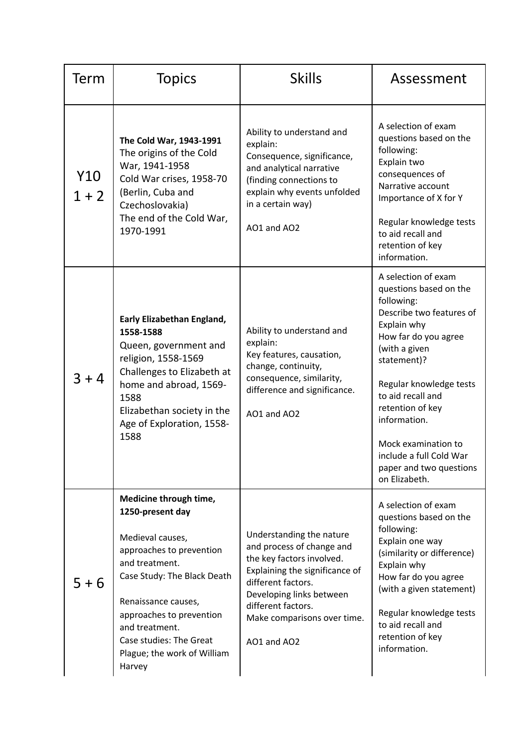| Term           | <b>Topics</b>                                                                                                                                                                                                                                                                        | <b>Skills</b>                                                                                                                                                                                                                              | Assessment                                                                                                                                                                                                                                                                                                                                       |
|----------------|--------------------------------------------------------------------------------------------------------------------------------------------------------------------------------------------------------------------------------------------------------------------------------------|--------------------------------------------------------------------------------------------------------------------------------------------------------------------------------------------------------------------------------------------|--------------------------------------------------------------------------------------------------------------------------------------------------------------------------------------------------------------------------------------------------------------------------------------------------------------------------------------------------|
| Y10<br>$1 + 2$ | The Cold War, 1943-1991<br>The origins of the Cold<br>War, 1941-1958<br>Cold War crises, 1958-70<br>(Berlin, Cuba and<br>Czechoslovakia)<br>The end of the Cold War,<br>1970-1991                                                                                                    | Ability to understand and<br>explain:<br>Consequence, significance,<br>and analytical narrative<br>(finding connections to<br>explain why events unfolded<br>in a certain way)<br>AO1 and AO2                                              | A selection of exam<br>questions based on the<br>following:<br>Explain two<br>consequences of<br>Narrative account<br>Importance of X for Y<br>Regular knowledge tests<br>to aid recall and<br>retention of key<br>information.                                                                                                                  |
| $3 + 4$        | Early Elizabethan England,<br>1558-1588<br>Queen, government and<br>religion, 1558-1569<br>Challenges to Elizabeth at<br>home and abroad, 1569-<br>1588<br>Elizabethan society in the<br>Age of Exploration, 1558-<br>1588                                                           | Ability to understand and<br>explain:<br>Key features, causation,<br>change, continuity,<br>consequence, similarity,<br>difference and significance.<br>AO1 and AO2                                                                        | A selection of exam<br>questions based on the<br>following:<br>Describe two features of<br>Explain why<br>How far do you agree<br>(with a given<br>statement)?<br>Regular knowledge tests<br>to aid recall and<br>retention of key<br>information.<br>Mock examination to<br>include a full Cold War<br>paper and two questions<br>on Elizabeth. |
| $5 + 6$        | Medicine through time,<br>1250-present day<br>Medieval causes,<br>approaches to prevention<br>and treatment.<br>Case Study: The Black Death<br>Renaissance causes,<br>approaches to prevention<br>and treatment.<br>Case studies: The Great<br>Plague; the work of William<br>Harvey | Understanding the nature<br>and process of change and<br>the key factors involved.<br>Explaining the significance of<br>different factors.<br>Developing links between<br>different factors.<br>Make comparisons over time.<br>AO1 and AO2 | A selection of exam<br>questions based on the<br>following:<br>Explain one way<br>(similarity or difference)<br>Explain why<br>How far do you agree<br>(with a given statement)<br>Regular knowledge tests<br>to aid recall and<br>retention of key<br>information.                                                                              |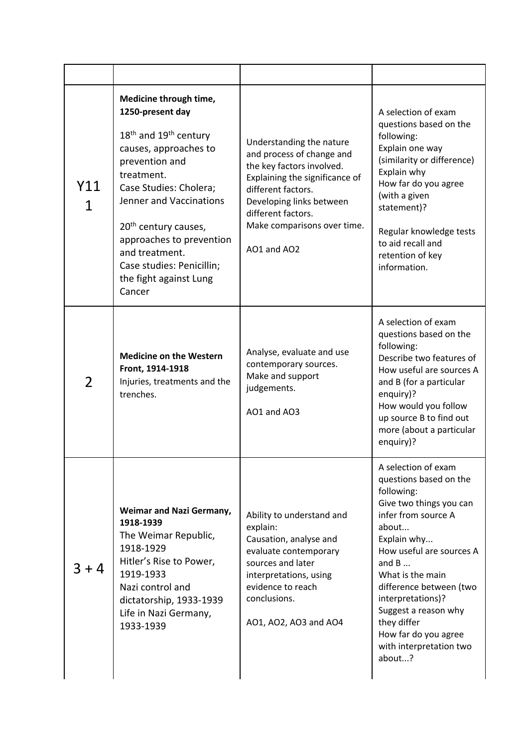| Y11<br>$\mathbf{1}$ | Medicine through time,<br>1250-present day<br>$18th$ and $19th$ century<br>causes, approaches to<br>prevention and<br>treatment.<br>Case Studies: Cholera;<br>Jenner and Vaccinations<br>20 <sup>th</sup> century causes,<br>approaches to prevention<br>and treatment.<br>Case studies: Penicillin;<br>the fight against Lung<br>Cancer | Understanding the nature<br>and process of change and<br>the key factors involved.<br>Explaining the significance of<br>different factors.<br>Developing links between<br>different factors.<br>Make comparisons over time.<br>AO1 and AO2 | A selection of exam<br>questions based on the<br>following:<br>Explain one way<br>(similarity or difference)<br>Explain why<br>How far do you agree<br>(with a given<br>statement)?<br>Regular knowledge tests<br>to aid recall and<br>retention of key<br>information.                                                                              |
|---------------------|------------------------------------------------------------------------------------------------------------------------------------------------------------------------------------------------------------------------------------------------------------------------------------------------------------------------------------------|--------------------------------------------------------------------------------------------------------------------------------------------------------------------------------------------------------------------------------------------|------------------------------------------------------------------------------------------------------------------------------------------------------------------------------------------------------------------------------------------------------------------------------------------------------------------------------------------------------|
| $\overline{2}$      | <b>Medicine on the Western</b><br>Front, 1914-1918<br>Injuries, treatments and the<br>trenches.                                                                                                                                                                                                                                          | Analyse, evaluate and use<br>contemporary sources.<br>Make and support<br>judgements.<br>AO1 and AO3                                                                                                                                       | A selection of exam<br>questions based on the<br>following:<br>Describe two features of<br>How useful are sources A<br>and B (for a particular<br>enquiry)?<br>How would you follow<br>up source B to find out<br>more (about a particular<br>enquiry)?                                                                                              |
| $3 + 4$             | Weimar and Nazi Germany,<br>1918-1939<br>The Weimar Republic,<br>1918-1929<br>Hitler's Rise to Power,<br>1919-1933<br>Nazi control and<br>dictatorship, 1933-1939<br>Life in Nazi Germany,<br>1933-1939                                                                                                                                  | Ability to understand and<br>explain:<br>Causation, analyse and<br>evaluate contemporary<br>sources and later<br>interpretations, using<br>evidence to reach<br>conclusions.<br>AO1, AO2, AO3 and AO4                                      | A selection of exam<br>questions based on the<br>following:<br>Give two things you can<br>infer from source A<br>about<br>Explain why<br>How useful are sources A<br>and $B$<br>What is the main<br>difference between (two<br>interpretations)?<br>Suggest a reason why<br>they differ<br>How far do you agree<br>with interpretation two<br>about? |